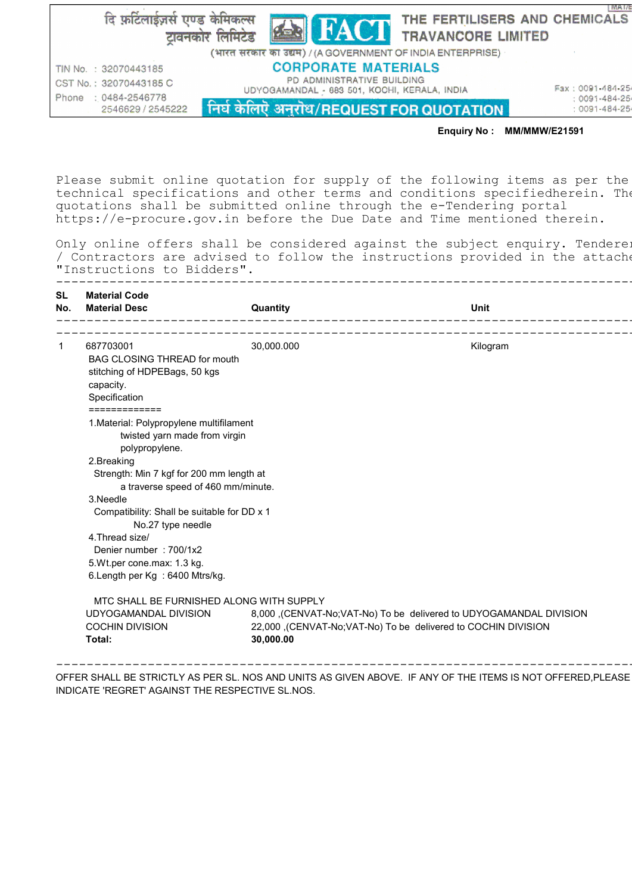दि फ़टिलाईज़र्स एण्ड केमिकल्स THE FERTILISERS AND CHEMICALS टावनकोर लिमिटेड TRAVANCORE LIMITED (भारत सरकार का उद्यम) / (A GOVERNMENT OF INDIA ENTERPRISE) **CORPORATE MATERIALS** TIN No. : 32070443185 PD ADMINISTRATIVE BUILDING UDYOGAMANDAL - 683 501, KOCHI, KERALA, INDIA

CST No.: 32070443185 C Phone : 0484-2546778 2546629 / 2545222

निघं केलिएँ अनुरोध/REQUEST FOR QUOTATION

Fax: 0091-484-25  $:0091 - 484 - 25$  $:0091 - 484 - 25$ 

**IMAI/E** 

## Enquiry No : MM/MMW/E21591

Please submit online quotation for supply of the following items as per the technical specifications and other terms and conditions specifiedherein. The quotations shall be submitted online through the e-Tendering portal https://e-procure.gov.in before the Due Date and Time mentioned therein.

Only online offers shall be considered against the subject enquiry. Tendere: / Contractors are advised to follow the instructions provided in the attache "Instructions to Bidders".

| <b>Material Code</b><br><b>Material Desc</b>                                                                                                                                                                                                                                                                                                                                                | Quantity   | <b>Unit</b> |
|---------------------------------------------------------------------------------------------------------------------------------------------------------------------------------------------------------------------------------------------------------------------------------------------------------------------------------------------------------------------------------------------|------------|-------------|
|                                                                                                                                                                                                                                                                                                                                                                                             |            |             |
| 687703001<br><b>BAG CLOSING THREAD for mouth</b><br>stitching of HDPEBags, 50 kgs<br>capacity.<br>Specification<br>=============                                                                                                                                                                                                                                                            | 30,000.000 | Kilogram    |
| 1. Material: Polypropylene multifilament<br>twisted yarn made from virgin<br>polypropylene.<br>2.Breaking<br>Strength: Min 7 kgf for 200 mm length at<br>a traverse speed of 460 mm/minute.<br>3.Needle<br>Compatibility: Shall be suitable for DD x 1<br>No.27 type needle<br>4. Thread size/<br>Denier number: 700/1x2<br>5. Wt.per cone.max: 1.3 kg.<br>6. Length per Kg : 6400 Mtrs/kg. |            |             |
| MTC SHALL BE FURNISHED ALONG WITH SUPPLY<br>UDYOGAMANDAL DIVISION<br>8,000 ,(CENVAT-No;VAT-No) To be delivered to UDYOGAMANDAL DIVISION<br><b>COCHIN DIVISION</b><br>22,000 ,(CENVAT-No;VAT-No) To be delivered to COCHIN DIVISION<br>30,000.00<br>Total:                                                                                                                                   |            |             |

OFFER SHALL BE STRICTLY AS PER SL. NOS AND UNITS AS GIVEN ABOVE. IF ANY OF THE ITEMS IS NOT OFFERED,PLEASE INDICATE 'REGRET' AGAINST THE RESPECTIVE SL.NOS.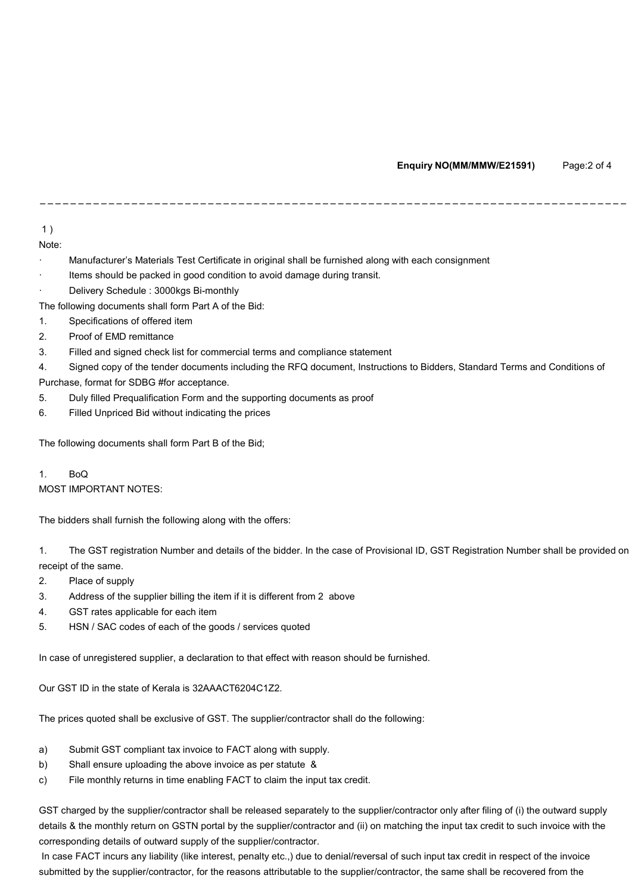1 )

Note:

- · Manufacturer's Materials Test Certificate in original shall be furnished along with each consignment
- Items should be packed in good condition to avoid damage during transit.
- Delivery Schedule : 3000kgs Bi-monthly

The following documents shall form Part A of the Bid:

- 1. Specifications of offered item
- 2. Proof of EMD remittance
- 3. Filled and signed check list for commercial terms and compliance statement

4. Signed copy of the tender documents including the RFQ document, Instructions to Bidders, Standard Terms and Conditions of Purchase, format for SDBG #for acceptance.

-----------------------------------------------------------------------------

- 5. Duly filled Prequalification Form and the supporting documents as proof
- 6. Filled Unpriced Bid without indicating the prices

The following documents shall form Part B of the Bid;

1. BoQ MOST IMPORTANT NOTES:

The bidders shall furnish the following along with the offers:

1. The GST registration Number and details of the bidder. In the case of Provisional ID, GST Registration Number shall be provided on receipt of the same.

- 2. Place of supply
- 3. Address of the supplier billing the item if it is different from 2 above
- 4. GST rates applicable for each item
- 5. HSN / SAC codes of each of the goods / services quoted

In case of unregistered supplier, a declaration to that effect with reason should be furnished.

Our GST ID in the state of Kerala is 32AAACT6204C1Z2.

The prices quoted shall be exclusive of GST. The supplier/contractor shall do the following:

- a) Submit GST compliant tax invoice to FACT along with supply.
- b) Shall ensure uploading the above invoice as per statute &
- c) File monthly returns in time enabling FACT to claim the input tax credit.

GST charged by the supplier/contractor shall be released separately to the supplier/contractor only after filing of (i) the outward supply details & the monthly return on GSTN portal by the supplier/contractor and (ii) on matching the input tax credit to such invoice with the corresponding details of outward supply of the supplier/contractor.

In case FACT incurs any liability (like interest, penalty etc.,) due to denial/reversal of such input tax credit in respect of the invoice submitted by the supplier/contractor, for the reasons attributable to the supplier/contractor, the same shall be recovered from the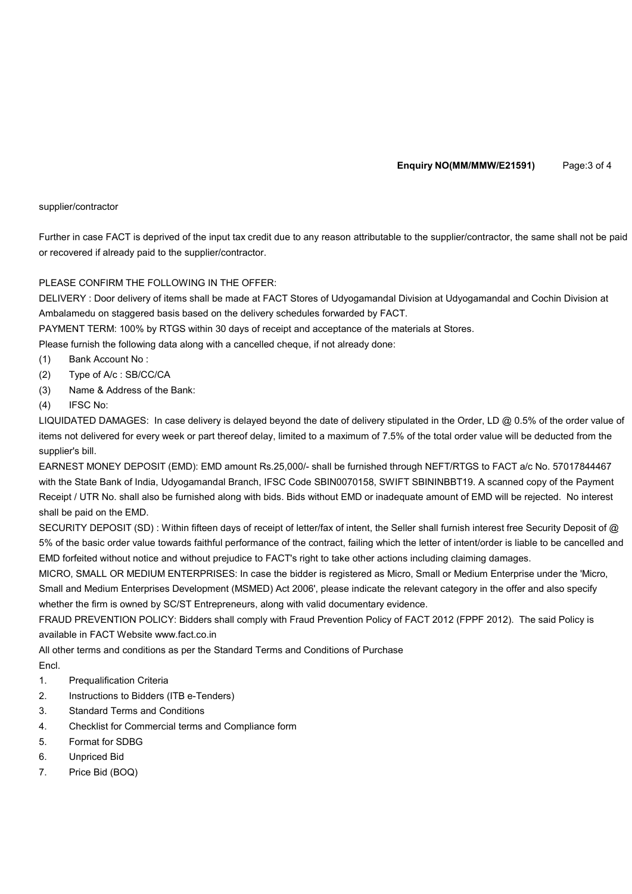### supplier/contractor

Further in case FACT is deprived of the input tax credit due to any reason attributable to the supplier/contractor, the same shall not be paid or recovered if already paid to the supplier/contractor.

# PLEASE CONFIRM THE FOLLOWING IN THE OFFER:

DELIVERY : Door delivery of items shall be made at FACT Stores of Udyogamandal Division at Udyogamandal and Cochin Division at Ambalamedu on staggered basis based on the delivery schedules forwarded by FACT.

PAYMENT TERM: 100% by RTGS within 30 days of receipt and acceptance of the materials at Stores.

Please furnish the following data along with a cancelled cheque, if not already done:

- (1) Bank Account No :
- (2) Type of A/c : SB/CC/CA
- (3) Name & Address of the Bank:
- (4) IFSC No:

LIQUIDATED DAMAGES: In case delivery is delayed beyond the date of delivery stipulated in the Order, LD @ 0.5% of the order value of items not delivered for every week or part thereof delay, limited to a maximum of 7.5% of the total order value will be deducted from the supplier's bill.

EARNEST MONEY DEPOSIT (EMD): EMD amount Rs.25,000/- shall be furnished through NEFT/RTGS to FACT a/c No. 57017844467 with the State Bank of India, Udyogamandal Branch, IFSC Code SBIN0070158, SWIFT SBININBBT19. A scanned copy of the Payment Receipt / UTR No. shall also be furnished along with bids. Bids without EMD or inadequate amount of EMD will be rejected. No interest shall be paid on the EMD.

SECURITY DEPOSIT (SD): Within fifteen days of receipt of letter/fax of intent, the Seller shall furnish interest free Security Deposit of @ 5% of the basic order value towards faithful performance of the contract, failing which the letter of intent/order is liable to be cancelled and EMD forfeited without notice and without prejudice to FACT's right to take other actions including claiming damages.

MICRO, SMALL OR MEDIUM ENTERPRISES: In case the bidder is registered as Micro, Small or Medium Enterprise under the 'Micro, Small and Medium Enterprises Development (MSMED) Act 2006', please indicate the relevant category in the offer and also specify whether the firm is owned by SC/ST Entrepreneurs, along with valid documentary evidence.

FRAUD PREVENTION POLICY: Bidders shall comply with Fraud Prevention Policy of FACT 2012 (FPPF 2012). The said Policy is available in FACT Website www.fact.co.in

All other terms and conditions as per the Standard Terms and Conditions of Purchase Encl.

- 1. Prequalification Criteria
- 2. Instructions to Bidders (ITB e-Tenders)
- 3. Standard Terms and Conditions
- 4. Checklist for Commercial terms and Compliance form
- 5. Format for SDBG
- 6. Unpriced Bid
- 7. Price Bid (BOQ)